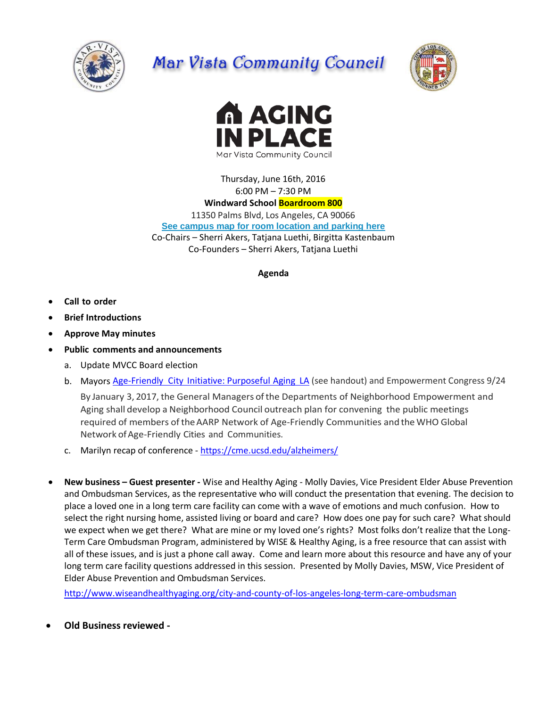

## Mar Vista Community Council





Thursday, June 16th, 2016 6:00 PM – 7:30 PM **Windward School Boardroom 800** 11350 Palms Blvd, Los Angeles, CA 90066 **[See campus map for room location and parking here](https://windwardschool.myschoolapp.com/ftpimages/176/download/download_1671327.pdf)** Co-Chairs – Sherri Akers, Tatjana Luethi, Birgitta Kastenbaum Co-Founders – Sherri Akers, Tatjana Luethi

## **Agenda**

- **Call to order**
- **Brief Introductions**
- **Approve May minutes**
- **Public comments and announcements**
	- a. Update MVCC Board election
	- b. Mayors Age-Friendly City [Initiative: Purposeful](http://www.lamayor.org/los-angeles-commits-%E2%80%98age-friendly%E2%80%99-future-better-serve-growing-older-adult-population) Aging LA (see handout) and Empowerment Congress 9/24

By January 3, 2017, the General Managers ofthe Departments of Neighborhood Empowerment and Aging shall develop a Neighborhood Council outreach plan for convening the public meetings required of members of theAARP Network of Age-Friendly Communities and the WHO Global Network of Age-Friendly Cities and Communities.

- c. Marilyn recap of conference <https://cme.ucsd.edu/alzheimers/>
- **New business – Guest presenter -** Wise and Healthy Aging Molly Davies, Vice President Elder Abuse Prevention and Ombudsman Services, as the representative who will conduct the presentation that evening. The decision to place a loved one in a long term care facility can come with a wave of emotions and much confusion. How to select the right nursing home, assisted living or board and care? How does one pay for such care? What should we expect when we get there? What are mine or my loved one's rights? Most folks don't realize that the Long-Term Care Ombudsman Program, administered by WISE & Healthy Aging, is a free resource that can assist with all of these issues, and is just a phone call away. Come and learn more about this resource and have any of your long term care facility questions addressed in this session. Presented by Molly Davies, MSW, Vice President of Elder Abuse Prevention and Ombudsman Services.

<http://www.wiseandhealthyaging.org/city-and-county-of-los-angeles-long-term-care-ombudsman>

**Old Business reviewed -**